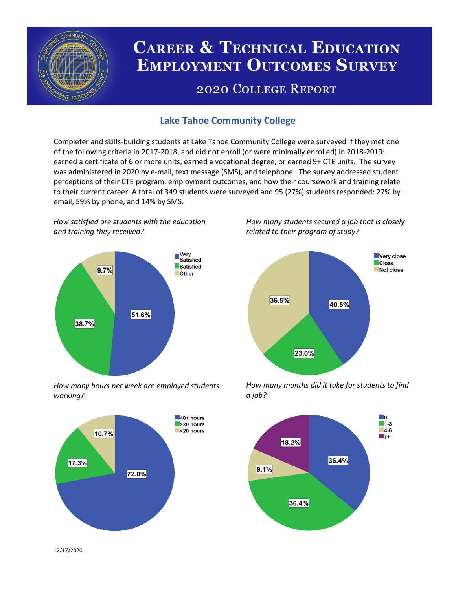

# **CAREER & TECHNICAL EDUCATION EMPLOYMENT OUTCOMES SURVEY**

## **2020 COLLEGE REPORT**

## **Lake Tahoe Community College**

Completer and skills-building students at Lake Tahoe Community College were surveyed if they met one of the following criteria in 2017-2018, and did not enroll (or were minimally enrolled) in 2018-2019: earned a certificate of 6 or more units, earned a vocational degree, or earned 9+ CTE units. The survey was administered in 2020 by e-mail, text message (SMS), and telephone. The survey addressed student perceptions of their CTE program, employment outcomes, and how their coursework and training relate to their current career. A total of 349 students were surveyed and 95 (27%) students responded: 27% by email, 59% by phone, and 14% by SMS.

*How satisfied are students with the education and training they received?*



*How many hours per week are employed students working?*



*How many students secured a job that is closely related to their program of study?*



*How many months did it take for students to find a job?*



12/17/2020